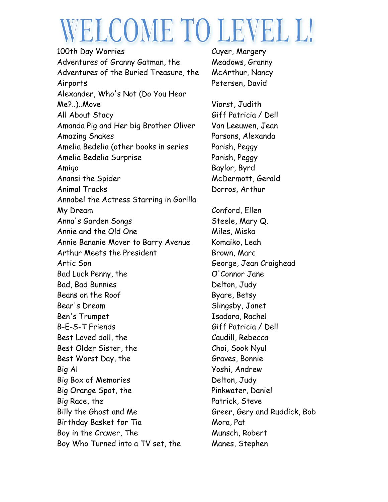## WELCOME TO LEVEL L!

100th Day Worries **Cuyer, Margery** Adventures of Granny Gatman, the Meadows, Granny Adventures of the Buried Treasure, the McArthur, Nancy Airports Petersen, David Alexander, Who's Not (Do You Hear Me?..)..Move Viorst, Judith All About Stacy Giff Patricia / Dell Amanda Pig and Her big Brother Oliver Van Leeuwen, Jean Amazing Snakes Parsons, Alexanda Amelia Bedelia (other books in series Parish, Peggy Amelia Bedelia Surprise Parish, Peggy Amigo Baylor, Byrd Anansi the Spider McDermott, Gerald Animal Tracks Dorros, Arthur Annabel the Actress Starring in Gorilla My Dream Conford, Ellen Anna's Garden Songs Steele, Mary Q. Annie and the Old One Miles, Miska Annie Bananie Mover to Barry Avenue Komaiko, Leah Arthur Meets the President Brown, Marc Artic Son George, Jean Craighead Bad Luck Penny, the C'Connor Jane Bad, Bad Bunnies Delton, Judy Beans on the Roof Byare, Betsy Bear's Dream Slingsby, Janet Ben's Trumpet Isadora, Rachel B-E-S-T Friends Giff Patricia / Dell Best Loved doll, the Caudill, Rebecca Best Older Sister, the Choi, Sook Nyul Best Worst Day, the Graves, Bonnie Big Al Yoshi, Andrew Big Box of Memories **Delton**, Judy Big Orange Spot, the Pinkwater, Daniel Big Race, the Patrick, Steve Billy the Ghost and Me Greer, Gery and Ruddick, Bob Birthday Basket for Tia **Mora**, Pat Boy in the Crawer, The Munsch, Robert Boy Who Turned into a TV set, the Manes, Stephen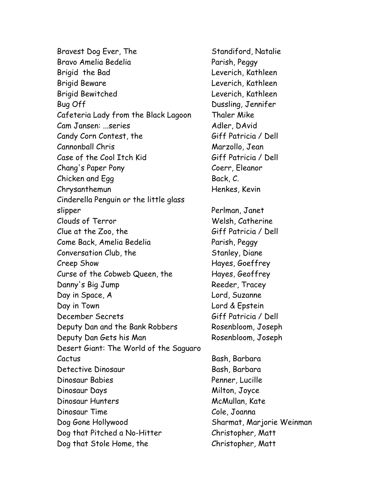Bravest Dog Ever, The Standiford, Natalie Bravo Amelia Bedelia Parish, Peggy Brigid the Bad Leverich, Kathleen Brigid Beware **Leverich, Kathleen** Brigid Bewitched Leverich, Kathleen Bug Off Dussling, Jennifer Cafeteria Lady from the Black Lagoon Thaler Mike Cam Jansen: ...series Adler, DAvid Candy Corn Contest, the Giff Patricia / Dell Cannonball Chris Marzollo, Jean Case of the Cool Itch Kid Giff Patricia / Dell Chang's Paper Pony Coerr, Eleanor Chicken and Egg Back, C. Chrysanthemun Henkes, Kevin Cinderella Penguin or the little glass slipper Perlman, Janet Clouds of Terror Welsh, Catherine  $C$ lue at the Zoo, the  $G$ iff Patricia / Dell Come Back, Amelia Bedelia Parish, Peggy Conversation Club, the Stanley, Diane Creep Show Hayes, Goeffrey Curse of the Cobweb Queen, the Hayes, Geoffrey Danny's Big Jump Reeder, Tracey Day in Space, A Lord, Suzanne Day in Town **Lord & Epstein** December Secrets Giff Patricia / Dell Deputy Dan and the Bank Robbers Rosenbloom, Joseph Deputy Dan Gets his Man Rosenbloom, Joseph Desert Giant: The World of the Saguaro Cactus Bash, Barbara Detective Dinosaur Bash, Barbara Dinosaur Babies Penner, Lucille Dinosaur Days Milton, Joyce Dinosaur Hunters McMullan, Kate Dinosaur Time Cole, Joanna Dog Gone Hollywood Sharmat, Marjorie Weinman Dog that Pitched a No-Hitter Christopher, Matt Dog that Stole Home, the Christopher, Matt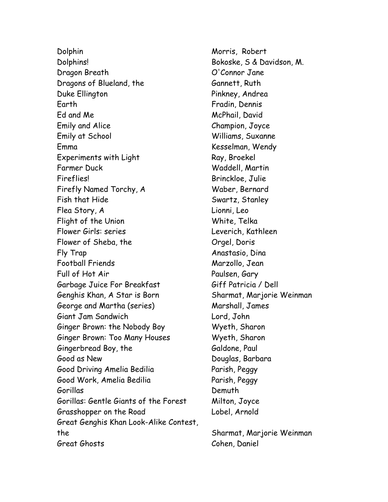Dolphin Morris, Robert Dolphins! Bokoske, S & Davidson, M. Dragon Breath O'Connor Jane Dragons of Blueland, the Gannett, Ruth Duke Ellington **Pinkney, Andrea** Earth Fradin, Dennis Ed and Me McPhail, David Emily and Alice Champion, Joyce Emily at School Williams, Suxanne Emma Kesselman, Wendy Experiments with Light Ray, Broekel Farmer Duck Waddell, Martin Fireflies! Brinckloe, Julie Firefly Named Torchy, A Waber, Bernard Fish that Hide Swartz, Stanley Flea Story, A Lionni, Leo Flight of the Union White, Telka Flower Girls: series Leverich, Kathleen Flower of Sheba, the Changel, Doris Fly Trap Anastasio, Dina Football Friends Marzollo, Jean Full of Hot Air Paulsen, Gary Garbage Juice For Breakfast Giff Patricia / Dell Genghis Khan, A Star is Born Sharmat, Marjorie Weinman George and Martha (series) Marshall, James Giant Jam Sandwich Lord, John Ginger Brown: the Nobody Boy Wyeth, Sharon Ginger Brown: Too Many Houses Wyeth, Sharon Gingerbread Boy, the Galdone, Paul Good as New Douglas, Barbara Good Driving Amelia Bedilia Parish, Peggy Good Work, Amelia Bedilia Parish, Peggy Gorillas Demuth Gorillas: Gentle Giants of the Forest Milton, Joyce Grasshopper on the Road Lobel, Arnold Great Genghis Khan Look-Alike Contest, the Sharmat, Marjorie Weinman Great Ghosts Cohen, Daniel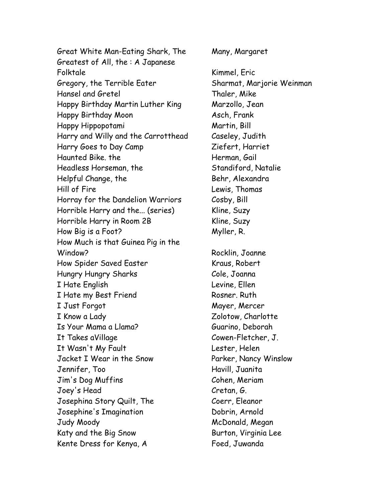Great White Man-Eating Shark, The Many, Margaret Greatest of All, the : A Japanese Folktale Kimmel, Eric Gregory, the Terrible Eater Sharmat, Marjorie Weinman Hansel and Gretel Thaler, Mike Happy Birthday Martin Luther King Marzollo, Jean Happy Birthday Moon Asch, Frank Happy Hippopotami Martin, Bill Harry and Willy and the Carrotthead Caseley, Judith Harry Goes to Day Camp Ziefert, Harriet Haunted Bike. the **Herman, Gail** Headless Horseman, the Standiford, Natalie Helpful Change, the Behr, Alexandra Hill of Fire Lewis, Thomas Horray for the Dandelion Warriors Cosby, Bill Horrible Harry and the... (series) Kline, Suzy Horrible Harry in Room 2B Kline, Suzy How Big is a Foot? Myller, R. How Much is that Guinea Pig in the Window? Rocklin, Joanne How Spider Saved Easter Kraus, Robert Hungry Hungry Sharks Cole, Joanna I Hate English Levine, Ellen I Hate my Best Friend Rosner. Ruth I Just Forgot Nayer, Mercer I Know a Lady Zolotow, Charlotte Is Your Mama a Llama? Guarino, Deborah It Takes aVillage Cowen-Fletcher, J. It Wasn't My Fault Lester, Helen Jacket I Wear in the Snow Parker, Nancy Winslow Jennifer, Too Havill, Juanita Jim's Dog Muffins Cohen, Meriam Joey's Head Cretan, G. Josephina Story Quilt, The Coerr, Eleanor Josephine's Imagination **Dobrin**, Arnold Judy Moody McDonald, Megan Katy and the Big Snow Burton, Virginia Lee Kente Dress for Kenya, A Foed, Juwanda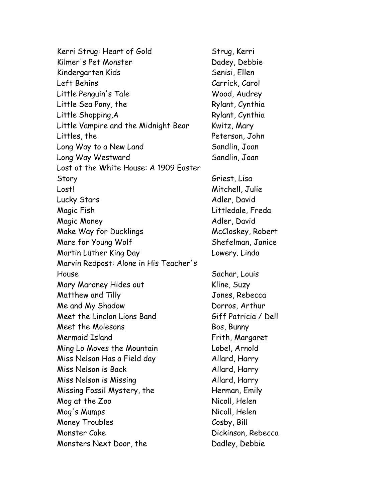Kerri Strug: Heart of Gold Strug, Kerri Kilmer's Pet Monster Dadey, Debbie Kindergarten Kids Senisi, Ellen Left Behins Carrick, Carol Little Penguin's Tale Wood, Audrey Little Sea Pony, the Rylant, Cynthia Little Shopping, A Rylant, Cynthia Little Vampire and the Midnight Bear Kwitz, Mary Littles, the Peterson, John Long Way to a New Land Sandlin, Joan Long Way Westward Sandlin, Joan Lost at the White House: A 1909 Easter Story Griest, Lisa Lost! Mitchell, Julie Lucky Stars No. 2008, 2008, 2009, 2009, 2009, 2009, 2009, 2009, 2009, 2009, 2009, 2009, 2009, 2009, 2009, 200 Magic Fish Littledale, Freda Magic Money **Adler**, David Make Way for Ducklings McCloskey, Robert Mare for Young Wolf Shefelman, Janice Martin Luther King Day **Lowery.** Linda Marvin Redpost: Alone in His Teacher's House Sachar, Louis Mary Maroney Hides out **Kline, Suzy** Matthew and Tilly Jones, Rebecca Me and My Shadow **Dorros**, Arthur Meet the Linclon Lions Band Giff Patricia / Dell Meet the Molesons Bos, Bunny Mermaid Island Frith, Margaret Ming Lo Moves the Mountain Lobel, Arnold Miss Nelson Has a Field day Allard, Harry Miss Nelson is Back Allard, Harry Miss Nelson is Missing The Millard, Harry Missing Fossil Mystery, the Herman, Emily Mog at the Zoo Nicoll, Helen Mog's Mumps Nicoll, Helen Money Troubles Cosby, Bill Monster Cake Dickinson, Rebecca Monsters Next Door, the Dadley, Debbie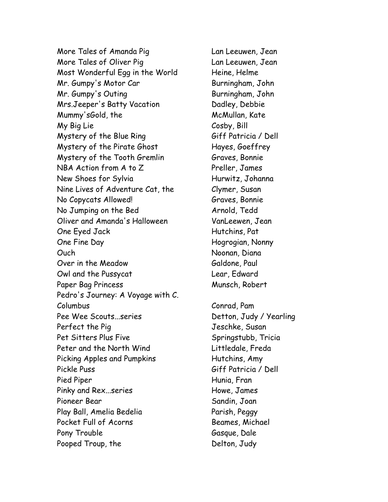More Tales of Amanda Pig Lan Leeuwen, Jean More Tales of Oliver Pig Lan Leeuwen, Jean Most Wonderful Egg in the World Heine, Helme Mr. Gumpy's Motor Car Burningham, John Mr. Gumpy's Outing Burningham, John Mrs.Jeeper's Batty Vacation Dadley, Debbie Mummy'sGold, the McMullan, Kate My Big Lie Cosby, Bill Mystery of the Blue Ring Giff Patricia / Dell Mystery of the Pirate Ghost Hayes, Goeffrey Mystery of the Tooth Gremlin Graves, Bonnie NBA Action from A to Z Preller, James New Shoes for Sylvia Hurwitz, Johanna Nine Lives of Adventure Cat, the Clymer, Susan No Copycats Allowed! Graves, Bonnie No Jumping on the Bed Arnold, Tedd Oliver and Amanda's Halloween VanLeewen, Jean One Eyed Jack Hutchins, Pat One Fine Day **Hogrogian**, Nonny Ouch Noonan, Diana Over in the Meadow Galdone, Paul Owl and the Pussycat Lear, Edward Paper Bag Princess Munsch, Robert Pedro's Journey: A Voyage with C. Columbus Conrad, Pam Pee Wee Scouts...series Detton, Judy / Yearling Perfect the Pig Government Constanting Susan Jeschke, Susan Pet Sitters Plus Five Springstubb, Tricia Peter and the North Wind First Littledale, Freda Picking Apples and Pumpkins Finance Hutchins, Amy Pickle Puss Giff Patricia / Dell Pied Piper Hunia, Fran Pinky and Rex...series Fig. 2014 and Rex...series Pioneer Bear Sandin, Joan Play Ball, Amelia Bedelia Parish, Peggy Pocket Full of Acorns **Beames, Michael** Pony Trouble Gasque, Dale Pooped Troup, the Delton, Judy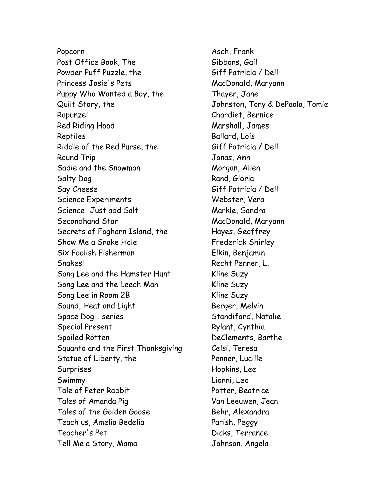Popcorn Asch, Frank Post Office Book, The Gibbons, Gail Powder Puff Puzzle, the Giff Patricia / Dell Princess Josie's Pets MacDonald, Maryann Puppy Who Wanted a Boy, the Thayer, Jane Quilt Story, the Johnston, Tony & DePaola, Tomie Rapunzel Chardiet, Bernice Red Riding Hood Marshall, James Reptiles Ballard, Lois Riddle of the Red Purse, the Giff Patricia / Dell Round Trip Jonas, Ann Sadie and the Snowman Morgan, Allen Salty Dog Rand, Gloria Say Cheese Giff Patricia / Dell Science Experiments Webster, Vera Science- Just add Salt Markle, Sandra Secondhand Star MacDonald, Maryann Secrets of Foghorn Island, the Hayes, Geoffrey Show Me a Snake Hole Frederick Shirley Six Foolish Fisherman Elkin, Benjamin Snakes! Recht Penner, L. Song Lee and the Hamster Hunt Kline Suzy Song Lee and the Leech Man Kline Suzy Song Lee in Room 2B Kline Suzy Sound, Heat and Light Berger, Melvin Space Dog... series Standiford, Natalie Special Present Rylant, Cynthia Spoiled Rotten **DeClements**, Barthe Squanto and the First Thanksgiving Celsi, Teresa Statue of Liberty, the Penner, Lucille Surprises Hopkins, Lee Swimmy Lionni, Leo Tale of Peter Rabbit Potter, Beatrice Tales of Amanda Pig Van Leeuwen, Jean Tales of the Golden Goose Behr, Alexandra Teach us, Amelia Bedelia Parish, Peggy Teacher's Pet Dicks, Terrance Tell Me a Story, Mama Johnson. Angela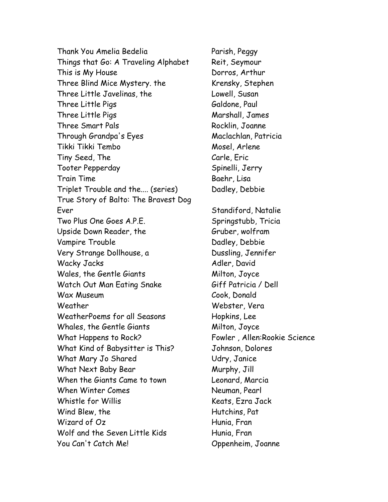Thank You Amelia Bedelia Parish, Peggy Things that Go: A Traveling Alphabet Reit, Seymour This is My House Dorros, Arthur Three Blind Mice Mystery. the Krensky, Stephen Three Little Javelinas, the Lowell, Susan Three Little Pigs Galdone, Paul Three Little Pigs Narshall, James Three Smart Pals Rocklin, Joanne Through Grandpa's Eyes Maclachlan, Patricia Tikki Tikki Tembo Mosel, Arlene Tiny Seed, The Carle, Eric Tooter Pepperday Spinelli, Jerry Train Time **Baehr, Lisa** Triplet Trouble and the.... (series) Dadley, Debbie True Story of Balto: The Bravest Dog Ever Standiford, Natalie Two Plus One Goes A.P.E. Springstubb, Tricia Upside Down Reader, the Gruber, wolfram Vampire Trouble **Dadley, Debbie** Very Strange Dollhouse, a **Dussling, Jennifer** Wacky Jacks Adler, David Wales, the Gentle Giants Milton, Joyce Watch Out Man Eating Snake Giff Patricia / Dell Wax Museum Cook, Donald Weather Webster, Vera WeatherPoems for all Seasons Hopkins, Lee Whales, the Gentle Giants Milton, Joyce What Happens to Rock? Fowler, Allen:Rookie Science What Kind of Babysitter is This? Johnson, Dolores What Mary Jo Shared Udry, Janice What Next Baby Bear Murphy, Jill When the Giants Came to town Leonard, Marcia When Winter Comes Neuman, Pearl Whistle for Willis Keats, Ezra Jack Wind Blew, the **Hutchins**, Pat Wizard of Oz Hunia, Fran Wolf and the Seven Little Kids Hunia, Fran You Can't Catch Me! Oppenheim, Joanne